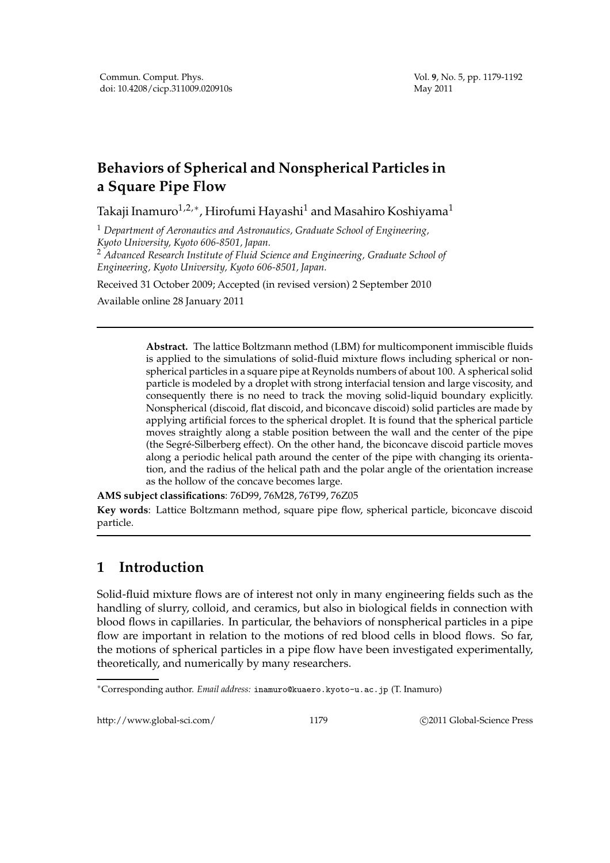## **Behaviors of Spherical and Nonspherical Particles in a Square Pipe Flow**

Takaji Inamuro $^{1,2,*}$ , Hirofumi Hayashi $^1$  and Masahiro Koshiyama $^1$ 

<sup>1</sup> *Department of Aeronautics and Astronautics, Graduate School of Engineering, Kyoto University, Kyoto 606-8501, Japan.* <sup>2</sup> *Advanced Research Institute of Fluid Science and Engineering, Graduate School of*

*Engineering, Kyoto University, Kyoto 606-8501, Japan.*

Received 31 October 2009; Accepted (in revised version) 2 September 2010

Available online 28 January 2011

**Abstract.** The lattice Boltzmann method (LBM) for multicomponent immiscible fluids is applied to the simulations of solid-fluid mixture flows including spherical or nonspherical particles in a square pipe at Reynolds numbers of about 100. A spherical solid particle is modeled by a droplet with strong interfacial tension and large viscosity, and consequently there is no need to track the moving solid-liquid boundary explicitly. Nonspherical (discoid, flat discoid, and biconcave discoid) solid particles are made by applying artificial forces to the spherical droplet. It is found that the spherical particle moves straightly along a stable position between the wall and the center of the pipe (the Segré-Silberberg effect). On the other hand, the biconcave discoid particle moves along a periodic helical path around the center of the pipe with changing its orientation, and the radius of the helical path and the polar angle of the orientation increase as the hollow of the concave becomes large.

**AMS subject classifications**: 76D99, 76M28, 76T99, 76Z05 **Key words**: Lattice Boltzmann method, square pipe flow, spherical particle, biconcave discoid particle.

## **1 Introduction**

Solid-fluid mixture flows are of interest not only in many engineering fields such as the handling of slurry, colloid, and ceramics, but also in biological fields in connection with blood flows in capillaries. In particular, the behaviors of nonspherical particles in a pipe flow are important in relation to the motions of red blood cells in blood flows. So far, the motions of spherical particles in a pipe flow have been investigated experimentally, theoretically, and numerically by many researchers.

http://www.global-sci.com/ 1179 c 2011 Global-Science Press

<sup>∗</sup>Corresponding author. *Email address:* inamuro@kuaero.kyoto-u.ac.jp (T. Inamuro)